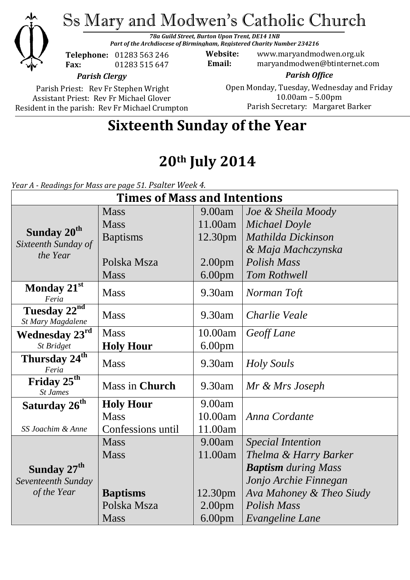

Ss Mary and Modwen's Catholic Church

*78a Guild Street, Burton Upon Trent, DE14 1NB Part of the Archdiocese of Birmingham, Registered Charity Number 234216*

**Telephone:** 01283 563 246 **Fax:** 01283 515 647

**Website:** www.maryandmodwen.org.uk **Email:** maryandmodwen@btinternet.com

*Parish Clergy*

Parish Priest: Rev Fr Stephen Wright Assistant Priest: Rev Fr Michael Glover Resident in the parish: Rev Fr Michael Crumpton

*Parish Office* Open Monday, Tuesday, Wednesday and Friday 10.00am – 5.00pm Parish Secretary:Margaret Barker

# **Sixteenth Sunday of the Year**

# **20th July 2014**

*Year A - Readings for Mass are page 51. Psalter Week 4.*

| <b>Times of Mass and Intentions</b>                        |                   |                    |                            |
|------------------------------------------------------------|-------------------|--------------------|----------------------------|
|                                                            | <b>Mass</b>       | 9.00am             | Joe & Sheila Moody         |
| Sunday 20 <sup>th</sup><br>Sixteenth Sunday of<br>the Year | <b>Mass</b>       | 11.00am            | Michael Doyle              |
|                                                            | <b>Baptisms</b>   | 12.30pm            | Mathilda Dickinson         |
|                                                            |                   |                    | & Maja Machczynska         |
|                                                            | Polska Msza       | 2.00 <sub>pm</sub> | <b>Polish Mass</b>         |
|                                                            | <b>Mass</b>       | 6.00 <sub>pm</sub> | Tom Rothwell               |
| Monday 21st<br>Feria                                       | <b>Mass</b>       | 9.30am             | Norman Toft                |
| Tuesday $22^{nd}$<br>St Mary Magdalene                     | <b>Mass</b>       | $9.30$ am          | Charlie Veale              |
| Wednesday 23rd                                             | <b>Mass</b>       | 10.00am            | Geoff Lane                 |
| St Bridget                                                 | <b>Holy Hour</b>  | 6.00 <sub>pm</sub> |                            |
| Thursday 24 <sup>th</sup><br>Feria                         | <b>Mass</b>       | 9.30am             | <b>Holy Souls</b>          |
| Friday 25 <sup>th</sup><br><b>St James</b>                 | Mass in Church    | 9.30am             | Mr & Mrs Joseph            |
| Saturday 26 <sup>th</sup>                                  | <b>Holy Hour</b>  | 9.00am             |                            |
|                                                            | <b>Mass</b>       | 10.00am            | Anna Cordante              |
| SS Joachim & Anne                                          | Confessions until | 11.00am            |                            |
|                                                            | <b>Mass</b>       | 9.00am             | <b>Special Intention</b>   |
|                                                            | <b>Mass</b>       | 11.00am            | Thelma & Harry Barker      |
| Sunday 27 <sup>th</sup>                                    |                   |                    | <b>Baptism</b> during Mass |
| Seventeenth Sunday                                         |                   |                    | Jonjo Archie Finnegan      |
| of the Year                                                | <b>Baptisms</b>   | 12.30pm            | Ava Mahoney & Theo Siudy   |
|                                                            | Polska Msza       | 2.00 <sub>pm</sub> | Polish Mass                |
|                                                            | <b>Mass</b>       | 6.00 <sub>pm</sub> | Evangeline Lane            |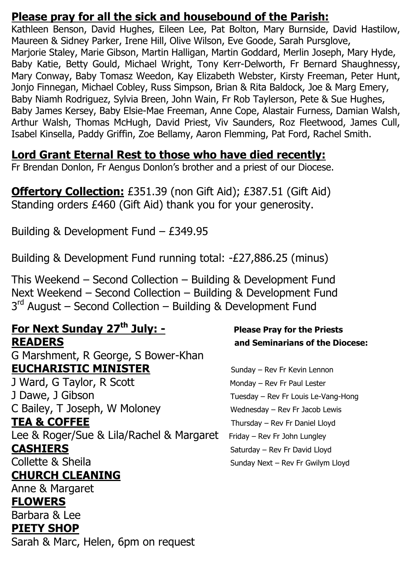### **Please pray for all the sick and housebound of the Parish:**

Kathleen Benson, David Hughes, Eileen Lee, Pat Bolton, Mary Burnside, David Hastilow, Maureen & Sidney Parker, Irene Hill, Olive Wilson, Eve Goode, Sarah Pursglove, Marjorie Staley, Marie Gibson, Martin Halligan, Martin Goddard, Merlin Joseph, Mary Hyde, Baby Katie, Betty Gould, Michael Wright, Tony Kerr-Delworth, Fr Bernard Shaughnessy, Mary Conway, Baby Tomasz Weedon, Kay Elizabeth Webster, Kirsty Freeman, Peter Hunt, Jonjo Finnegan, Michael Cobley, Russ Simpson, Brian & Rita Baldock, Joe & Marg Emery, Baby Niamh Rodriguez, Sylvia Breen, John Wain, Fr Rob Taylerson, Pete & Sue Hughes, Baby James Kersey, Baby Elsie-Mae Freeman, Anne Cope, Alastair Furness, Damian Walsh, Arthur Walsh, Thomas McHugh, David Priest, Viv Saunders, Roz Fleetwood, James Cull, Isabel Kinsella, Paddy Griffin, Zoe Bellamy, Aaron Flemming, Pat Ford, Rachel Smith.

## **Lord Grant Eternal Rest to those who have died recently:**

Fr Brendan Donlon, Fr Aengus Donlon's brother and a priest of our Diocese.

**Offertory Collection:** £351.39 (non Gift Aid); £387.51 (Gift Aid) Standing orders £460 (Gift Aid) thank you for your generosity.

Building & Development Fund – £349.95

Building & Development Fund running total: -£27,886.25 (minus)

This Weekend – Second Collection – Building & Development Fund Next Weekend – Second Collection – Building & Development Fund 3<sup>rd</sup> August – Second Collection – Building & Development Fund

# **For Next Sunday 27th July: - Please Pray for the Priests READERS and Seminarians of the Diocese:**

G Marshment, R George, S Bower-Khan **EUCHARISTIC MINISTER** Sunday – Rev Fr Kevin Lennon J Ward, G Taylor, R Scott Monday – Rev Fr Paul Lester J Dawe, J Gibson Tuesday – Rev Fr Louis Le-Vang-Hong C Bailey, T Joseph, W Moloney Wednesday – Rev Fr Jacob Lewis **TEA & COFFEE** Thursday – Rev Fr Daniel Lloyd Lee & Roger/Sue & Lila/Rachel & Margaret Friday - Rev Fr John Lungley **CASHIERS** Saturday – Rev Fr David Lloyd Collette & Sheila Sunday Next – Rev Fr Gwilym Lloyd **CHURCH CLEANING** Anne & Margaret **FLOWERS** 

# Barbara & Lee **PIETY SHOP**

Sarah & Marc, Helen, 6pm on request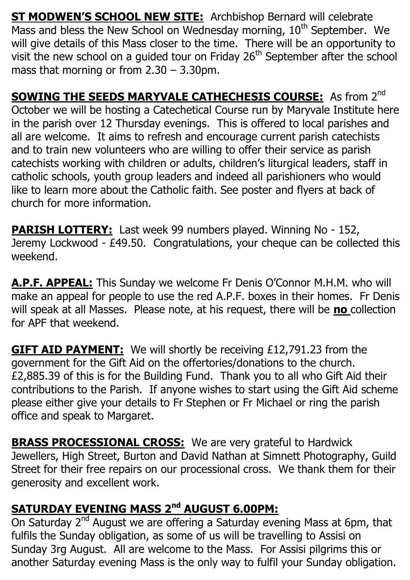**ST MODWEN'S SCHOOL NEW SITE:** Archbishop Bernard will celebrate Mass and bless the New School on Wednesday morning, 10<sup>th</sup> September. We will give details of this Mass closer to the time. There will be an opportunity to visit the new school on a quided tour on Friday  $26<sup>th</sup>$  September after the school mass that morning or from 2.30 – 3.30pm.

**SOWING THE SEEDS MARYVALE CATHECHESIS COURSE:** As from 2<sup>nd</sup> October we will be hosting a Catechetical Course run by Maryvale Institute here in the parish over 12 Thursday evenings. This is offered to local parishes and all are welcome. It aims to refresh and encourage current parish catechists and to train new volunteers who are willing to offer their service as parish catechists working with children or adults, children's liturgical leaders, staff in catholic schools, youth group leaders and indeed all parishioners who would like to learn more about the Catholic faith. See poster and flyers at back of church for more information.

**PARISH LOTTERY:** Last week 99 numbers played. Winning No - 152, Jeremy Lockwood - £49.50. Congratulations, your cheque can be collected this weekend.

**A.P.F. APPEAL:** This Sunday we welcome Fr Denis O'Connor M.H.M. who will make an appeal for people to use the red A.P.F. boxes in their homes. Fr Denis will speak at all Masses. Please note, at his request, there will be **no** collection for APF that weekend.

**GIFT AID PAYMENT:** We will shortly be receiving £12,791.23 from the government for the Gift Aid on the offertories/donations to the church. £2,885.39 of this is for the Building Fund. Thank you to all who Gift Aid their contributions to the Parish. If anyone wishes to start using the Gift Aid scheme please either give your details to Fr Stephen or Fr Michael or ring the parish office and speak to Margaret.

**BRASS PROCESSIONAL CROSS:** We are very grateful to Hardwick Jewellers, High Street, Burton and David Nathan at Simnett Photography, Guild Street for their free repairs on our processional cross. We thank them for their generosity and excellent work.

## **SATURDAY EVENING MASS 2nd AUGUST 6.00PM:**

On Saturday 2<sup>nd</sup> August we are offering a Saturday evening Mass at 6pm, that fulfils the Sunday obligation, as some of us will be travelling to Assisi on Sunday 3rg August. All are welcome to the Mass. For Assisi pilgrims this or another Saturday evening Mass is the only way to fulfil your Sunday obligation.